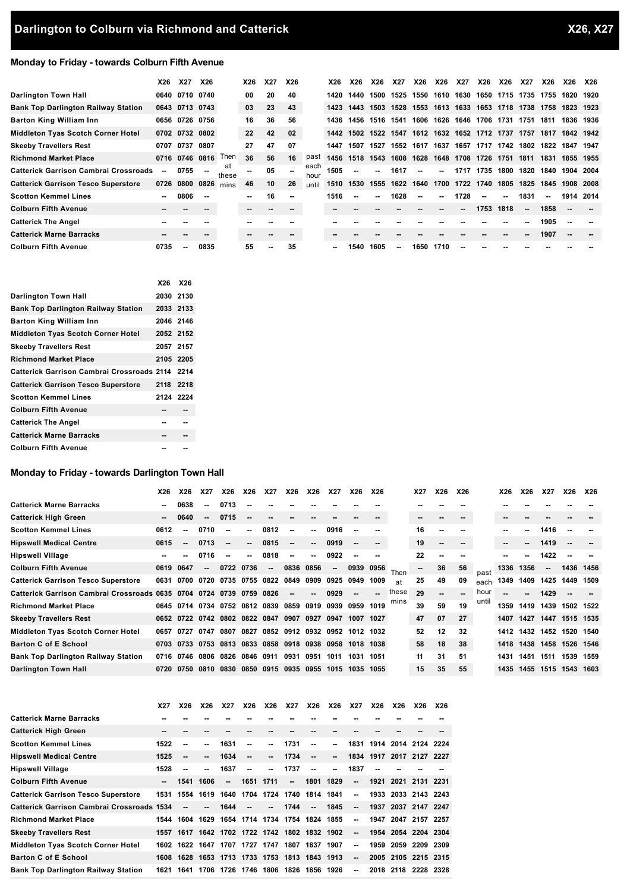# **Monday to Friday - towards Colburn Fifth Avenue**

|                                              | X26   | <b>X27</b>     | <b>X26</b> |             | X26                      | X27 | X26 |              | X26  | X26                      | X26  | <b>X27</b> | X26                                     | X26    | X27       | X26  | X26                 | X27  | X26            | X26  | <b>X26</b> |
|----------------------------------------------|-------|----------------|------------|-------------|--------------------------|-----|-----|--------------|------|--------------------------|------|------------|-----------------------------------------|--------|-----------|------|---------------------|------|----------------|------|------------|
| <b>Darlington Town Hall</b>                  | 0640  | 0710 0740      |            |             | 00                       | 20  | 40  |              | 1420 | 1440                     | 1500 | 1525       | 1550                                    | 1610   | 1630      |      | 1650 1715 1735 1755 |      |                | 1820 | 1920       |
| <b>Bank Top Darlington Railway Station</b>   |       | 0643 0713 0743 |            |             | 03                       | 23  | 43  |              | 1423 | 1443                     | 1503 |            | 1528 1553 1613 1633 1653 1718 1738 1758 |        |           |      |                     |      |                | 1823 | 1923       |
| <b>Barton King William Inn</b>               |       | 0656 0726 0756 |            |             | 16                       | 36  | 56  |              | 1436 | 1456                     | 1516 | 1541       | 1606                                    | 1626   | 1646 1706 |      | 1731                | 1751 | 1811           | 1836 | 1936       |
| <b>Middleton Tyas Scotch Corner Hotel</b>    |       | 0702 0732 0802 |            |             | 22                       | 42  | 02  |              | 1442 | 1502                     |      |            | 1522 1547 1612 1632 1652 1712 1737      |        |           |      |                     | 1757 | 1817           | 1842 | 1942       |
| <b>Skeeby Travellers Rest</b>                | 0707  | 0737           | 0807       |             | 27                       | 47  | 07  |              | 1447 | 1507                     | 1527 |            | 1552 1617 1637                          |        |           |      | 1657 1717 1742      |      | 1802 1822      | 1847 | 1947       |
| <b>Richmond Market Place</b>                 |       | 0716 0746 0816 |            | Then        | 36                       | 56  | 16  | past         | 1456 | 1518                     | 1543 | 1608       | 1628                                    | 1648   | 1708 1726 |      | 1751                | 1811 | 1831           | 1855 | 1955       |
| <b>Catterick Garrison Cambrai Crossroads</b> | ۰.    | 0755           | $\sim$     | at<br>these | $\sim$                   | 05  | --  | each<br>hour | 1505 | $\sim$                   | --   | 1617       | $\overline{\phantom{a}}$                | $\sim$ | 1717      | 1735 | 1800                | 1820 | 1840           | 1904 | 2004       |
| <b>Catterick Garrison Tesco Superstore</b>   |       | 0726 0800      | 0826       | mins        | 46                       | 10  | 26  | until        | 1510 | 1530                     | 1555 |            | 1622 1640                               | 1700   | 1722 1740 |      |                     |      | 1805 1825 1845 | 1908 | 2008       |
| <b>Scotton Kemmel Lines</b>                  | --    | 0806           | $\sim$     |             | $\sim$                   | 16  | --  |              | 1516 | $\overline{\phantom{a}}$ | --   | 1628       | ۰.                                      | --     | 1728      |      | --                  | 1831 | --             | 1914 | 2014       |
| <b>Colburn Fifth Avenue</b>                  | $- -$ |                |            |             | $\overline{\phantom{a}}$ |     |     |              |      |                          |      |            |                                         | --     | --        | 1753 | 1818                | --   | 1858           |      |            |
| <b>Catterick The Angel</b>                   |       |                |            |             |                          |     |     |              |      |                          |      |            |                                         |        |           |      |                     | --   | 1905           |      |            |
| <b>Catterick Marne Barracks</b>              | --    |                |            |             | --                       |     |     |              |      |                          |      |            |                                         |        |           |      |                     | --   | 1907           |      |            |
| <b>Colburn Fifth Avenue</b>                  | 0735  | ۰.             | 0835       |             | 55                       | --  | 35  |              |      | 1540                     | 1605 | --         | 1650                                    | 1710   |           |      |                     |      |                |      |            |

|                                                 | X26 X26   |    |
|-------------------------------------------------|-----------|----|
| Darlington Town Hall                            | 2030 2130 |    |
| <b>Bank Top Darlington Railway Station</b>      | 2033 2133 |    |
| Barton King William Inn                         | 2046 2146 |    |
| Middleton Tyas Scotch Corner Hotel              | 2052 2152 |    |
| Skeeby Travellers Rest                          | 2057 2157 |    |
| Richmond Market Place                           | 2105 2205 |    |
| Catterick Garrison Cambrai Crossroads 2114 2214 |           |    |
| Catterick Garrison Tesco Superstore 2118 2218   |           |    |
| Scotton Kemmel Lines                            | 2124 2224 |    |
| Colburn Fifth Avenue                            |           |    |
| <b>Catterick The Angel</b>                      | --        | -- |
| <b>Catterick Marne Barracks</b>                 | --        | -- |
| Colburn Fifth Avenue                            |           |    |

# **Monday to Friday - towards Darlington Town Hall**

|                                                                | X26  | <b>X26</b>                                             | X27                      | X26                                     | X26                      | <b>X27</b>               | X26  | X26                      | <b>X27</b> | X26  | X26                      |       | X27 | X26                      | X26 |       | X26  | X26                 | X27                      | X26                      | <b>X26</b> |
|----------------------------------------------------------------|------|--------------------------------------------------------|--------------------------|-----------------------------------------|--------------------------|--------------------------|------|--------------------------|------------|------|--------------------------|-------|-----|--------------------------|-----|-------|------|---------------------|--------------------------|--------------------------|------------|
| Catterick Marne Barracks                                       | ۰.   | 0638                                                   | --                       | 0713                                    |                          |                          |      |                          |            |      |                          |       |     |                          |     |       |      |                     |                          |                          |            |
| Catterick High Green                                           | --   | 0640                                                   | $\overline{\phantom{a}}$ | 0715                                    |                          |                          |      |                          |            |      |                          |       | --  |                          |     |       |      |                     |                          |                          |            |
| Scotton Kemmel Lines                                           | 0612 | --                                                     | 0710                     | ۰.                                      | $\sim$                   | 0812                     | --   | μ.                       | 0916       |      | --                       |       | 16  |                          |     |       |      | --                  | 1416                     |                          |            |
| Hipswell Medical Centre                                        | 0615 | --                                                     | 0713                     | --                                      | $\overline{\phantom{a}}$ | 0815                     | --   | $\overline{\phantom{a}}$ | 0919       |      | $\overline{\phantom{a}}$ |       | 19  | $\overline{\phantom{a}}$ |     |       | --   | --                  | 1419                     | $\overline{\phantom{a}}$ |            |
| Hipswell Village                                               |      |                                                        | 0716                     | ۰.                                      | ۰.                       | 0818                     | ۰.   | μ.                       | 0922       |      | --                       |       | 22  |                          |     |       |      | --                  | 1422                     |                          |            |
| Colburn Fifth Avenue                                           | 0619 | 0647                                                   | --                       | 0722                                    | 0736                     | $\overline{\phantom{a}}$ | 0836 | 0856                     | --         | 0939 | 0956                     | Then  |     | 36                       | 56  | past  | 1336 | 1356                | $\overline{\phantom{a}}$ | 1436 1456                |            |
| Catterick Garrison Tesco Superstore                            | 0631 | 0700                                                   | 0720                     | 0735 0755 0822 0849                     |                          |                          |      | 0909                     | 0925       | 0949 | 1009                     | at    | 25  | 49                       | 09  | each  | 1349 | 1409                | 1425                     | 1449                     | 1509       |
| Catterick Garrison Cambrai Crossroads 0635 0704 0724 0739 0759 |      |                                                        |                          |                                         |                          | 0826                     |      |                          | 0929       |      | $\overline{\phantom{a}}$ | these | 29  |                          | ۰.  | hour  |      | --                  | 1429                     |                          |            |
| Richmond Market Place                                          |      | 0645 0714 0734 0752 0812 0839                          |                          |                                         |                          |                          | 0859 | 0919 0939                |            | 0959 | 1019                     | mıns  | 39  | 59                       | 19  | until | 1359 | 1419                | 1439                     | 1502 1522                |            |
| Skeeby Travellers Rest                                         |      | 0652 0722 0742 0802 0822 0847                          |                          |                                         |                          |                          | 0907 | 0927                     | 0947       | 1007 | 1027                     |       | 47  | 07                       | 27  |       | 1407 | 1427                |                          | 1447 1515 1535           |            |
| Middleton Tyas Scotch Corner Hotel                             | 0657 | 0727                                                   | 0747                     | 0807                                    | 0827                     | 0852                     | 0912 |                          | 0932 0952  | 1012 | 1032                     |       | 52  | 12                       | 32  |       | 1412 | 1432                |                          | 1452 1520 1540           |            |
| Barton C of E School                                           |      | 0703 0733 0753 0813 0833 0858 0918 0938 0958 1018 1038 |                          |                                         |                          |                          |      |                          |            |      |                          |       | 58  | 18                       | 38  |       | 1418 | 1438 1458 1526 1546 |                          |                          |            |
| Bank Top Darlington Railway Station                            | 0716 | 0746                                                   | 0806                     | 0826                                    | 0846 0911                |                          | 0931 | 0951                     | 1011       | 1031 | 1051                     |       | 11  | 31                       | 51  |       | 1431 | 1451                | 1511                     | 1539                     | 1559       |
| Darlington Town Hall                                           |      | 0720 0750                                              | 0810                     | 0830 0850 0915 0935 0955 1015 1035 1055 |                          |                          |      |                          |            |      |                          |       | 15  | 35                       | 55  |       | 1435 | 1455 1515 1543 1603 |                          |                          |            |
|                                                                |      |                                                        |                          |                                         |                          |                          |      |                          |            |      |                          |       |     |                          |     |       |      |                     |                          |                          |            |

|                                                   | <b>X27</b> | X26                      | X26  | X27                      | X26            | X26                      | <b>X27</b>                              | X26                      | X26                      | <b>X27</b>               | X26  | X26       | X26                      | <b>X26</b> |
|---------------------------------------------------|------------|--------------------------|------|--------------------------|----------------|--------------------------|-----------------------------------------|--------------------------|--------------------------|--------------------------|------|-----------|--------------------------|------------|
| <b>Catterick Marne Barracks</b>                   | --         |                          |      |                          |                |                          |                                         |                          |                          |                          |      |           |                          |            |
| <b>Catterick High Green</b>                       |            |                          |      |                          |                |                          |                                         |                          |                          |                          |      |           |                          |            |
| <b>Scotton Kemmel Lines</b>                       | 1522       | $\overline{a}$           | --   | 1631                     | --             | $\overline{a}$           | 1731                                    | $\overline{\phantom{a}}$ | $\overline{a}$           |                          |      |           | 1831 1914 2014 2124 2224 |            |
| <b>Hipswell Medical Centre</b>                    | 1525       |                          | --   | 1634                     | $\overline{a}$ | --                       | 1734                                    | $\overline{\phantom{a}}$ | $\overline{\phantom{a}}$ |                          |      |           | 1834 1917 2017 2127 2227 |            |
| <b>Hipswell Village</b>                           | 1528       | $\overline{\phantom{a}}$ | ۰.   | 1637                     | $-$            | $\overline{a}$           | 1737                                    | $\sim$                   | $\overline{a}$           | 1837                     | --   |           |                          |            |
| <b>Colburn Fifth Avenue</b>                       | $- -$      | 1541                     | 1606 | $\overline{\phantom{a}}$ |                | 1651 1711                | --                                      | 1801                     | 1829                     | $\overline{\phantom{a}}$ |      |           | 1921 2021 2131 2231      |            |
| <b>Catterick Garrison Tesco Superstore</b>        | 1531       | 1554                     |      |                          |                |                          | 1619 1640 1704 1724 1740 1814           |                          | 1841                     | $\overline{\phantom{a}}$ |      |           | 1933 2033 2143 2243      |            |
| <b>Catterick Garrison Cambrai Crossroads 1534</b> |            | $\overline{\phantom{a}}$ | --   | 1644                     | $\overline{a}$ | $\overline{\phantom{a}}$ | 1744                                    | $\overline{\phantom{a}}$ | 1845                     | $\overline{a}$           |      |           | 1937 2037 2147 2247      |            |
| <b>Richmond Market Place</b>                      | 1544       | 1604                     |      |                          |                |                          | 1629 1654 1714 1734 1754 1824           |                          | 1855                     | $\sim$                   |      |           | 1947 2047 2157 2257      |            |
| <b>Skeeby Travellers Rest</b>                     | 1557       | 1617                     |      |                          |                |                          | 1642 1702 1722 1742 1802 1832 1902      |                          |                          | $\overline{\phantom{a}}$ |      |           | 1954 2054 2204 2304      |            |
| Middleton Tyas Scotch Corner Hotel                | 1602       | 1622                     |      | 1647 1707 1727 1747      |                |                          | 1807                                    | 1837                     | 1907                     | $\overline{\phantom{a}}$ | 1959 |           | 2059 2209 2309           |            |
| <b>Barton C of E School</b>                       | 1608       |                          |      |                          |                |                          | 1628 1653 1713 1733 1753 1813 1843 1913 |                          |                          | $\sim$                   |      |           | 2005 2105 2215 2315      |            |
| <b>Bank Top Darlington Railway Station</b>        | 1621       | 1641                     |      |                          |                |                          | 1706 1726 1746 1806 1826                |                          | 1856 1926                | $\overline{\phantom{a}}$ |      | 2018 2118 | 2228 2328                |            |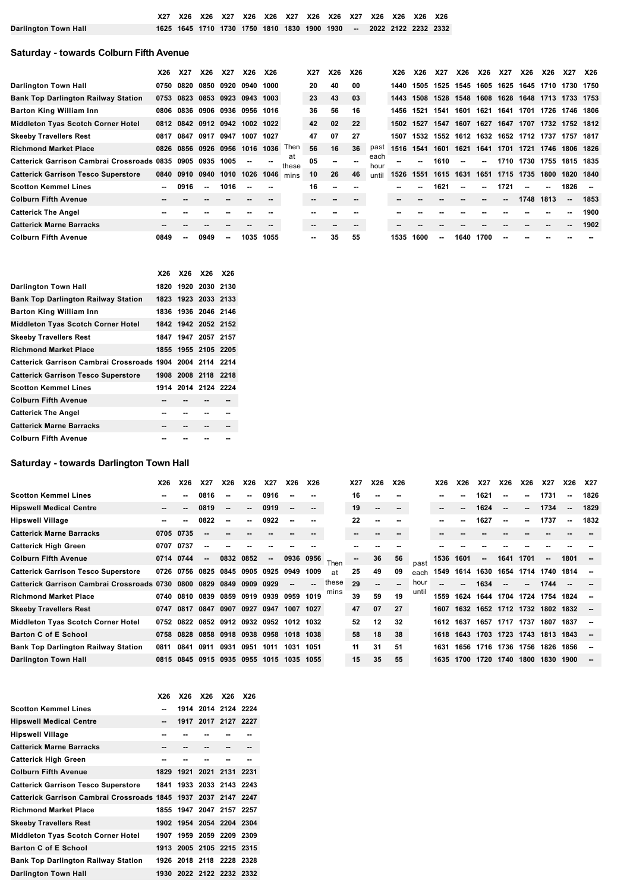|                      |  |  |  |  | X27 X26 X26 X27 X26 X26 X27 X26 X26 X27 X26 X26 X26 X26 X26         |  |  |  |
|----------------------|--|--|--|--|---------------------------------------------------------------------|--|--|--|
| Darlington Town Hall |  |  |  |  | 1625 1645 1710 1730 1750 1810 1830 1900 1930 -- 2022 2122 2232 2332 |  |  |  |

# **Saturday - towards Colburn Fifth Avenue**

|                                                        | X26            | <b>X27</b> | X26                           | X27  | X26                      | <b>X26</b> |             | X27 | X26                      | X26 |              | X26  | X26  | <b>X27</b> | X26                      | X26            | X27            | X26       | X26                 | <b>X27</b> | <b>X26</b>               |
|--------------------------------------------------------|----------------|------------|-------------------------------|------|--------------------------|------------|-------------|-----|--------------------------|-----|--------------|------|------|------------|--------------------------|----------------|----------------|-----------|---------------------|------------|--------------------------|
| <b>Darlington Town Hall</b>                            | 0750           | 0820       | 0850                          | 0920 | 0940                     | 1000       |             | 20  | 40                       | 00  |              | 1440 | 1505 | 1525       |                          |                | 1545 1605 1625 | 1645      | 1710 1730 1750      |            |                          |
| <b>Bank Top Darlington Railway Station</b>             | 0753           | 0823       | 0853 0923 0943                |      |                          | 1003       |             | 23  | 43                       | 03  |              | 1443 | 1508 | 1528       | 1548                     | 1608           | 1628           |           | 1648 1713 1733 1753 |            |                          |
| <b>Barton King William Inn</b>                         | 0806           | 0836       |                               |      | 0906 0936 0956           | 1016       |             | 36  | 56                       | 16  |              | 1456 | 1521 | 1541       | 1601                     | 1621           | 1641           | 1701      | 1726                | 1746 1806  |                          |
| <b>Middleton Tyas Scotch Corner Hotel</b>              |                |            | 0812 0842 0912 0942 1002 1022 |      |                          |            |             | 42  | 02                       | 22  |              | 1502 | 1527 | 1547       |                          |                | 1607 1627 1647 |           | 1707 1732 1752 1812 |            |                          |
| <b>Skeeby Travellers Rest</b>                          | 0817           | 0847       | 0917                          | 0947 | 1007                     | 1027       |             | 47  | 07                       | 27  |              | 1507 | 1532 | 1552       | 1612 1632                |                | 1652           | 1712 1737 |                     | 1757       | 1817                     |
| <b>Richmond Market Place</b>                           |                |            | 0826 0856 0926 0956 1016 1036 |      |                          |            | Then        | 56  | 16                       | 36  | past         | 1516 | 1541 | 1601       | 1621                     | 1641           | 1701           | 1721      | 1746                | 1806 1826  |                          |
| <b>Catterick Garrison Cambrai Crossroads 0835 0905</b> |                |            | 0935                          | 1005 | $\overline{\phantom{a}}$ |            | at<br>these | 05  |                          |     | each<br>hour |      |      | 1610       | $\overline{\phantom{a}}$ | $\overline{a}$ | 1710           | 1730      | 1755                | 1815 1835  |                          |
| <b>Catterick Garrison Tesco Superstore</b>             |                |            | 0840 0910 0940                | 1010 | 1026                     | 1046       | mins        | 10  | 26                       | 46  | until        | 1526 | 1551 | 1615       | 1631                     | 1651           | 1715 1735      |           | 1800                | 1820 1840  |                          |
| <b>Scotton Kemmel Lines</b>                            | $\sim$         | 0916       | ۰.                            | 1016 |                          |            |             | 16  | $\overline{\phantom{a}}$ |     |              | --   |      | 1621       | --                       | --             | 1721           | $\sim$    | --                  | 1826       | $\overline{\phantom{a}}$ |
| <b>Colburn Fifth Avenue</b>                            |                |            |                               |      |                          |            |             | --  |                          | --  |              |      |      |            |                          | --             | $-$            | 1748      | 1813                | --         | 1853                     |
| <b>Catterick The Angel</b>                             |                |            |                               |      |                          |            |             |     |                          |     |              |      |      |            |                          |                |                |           |                     |            | 1900                     |
| <b>Catterick Marne Barracks</b>                        | $\blacksquare$ |            |                               |      |                          |            |             | --  |                          |     |              |      |      |            |                          |                |                |           |                     |            | 1902                     |
| <b>Colburn Fifth Avenue</b>                            | 0849           | --         | 0949                          | ۰.   | 1035                     | 1055       |             | --  | 35                       | 55  |              | 1535 | 1600 | ۰.         | 1640                     | 1700           |                |           |                     |            |                          |

|                                                           | X26 |                     | X26 X26 | <b>X26</b> |
|-----------------------------------------------------------|-----|---------------------|---------|------------|
| Darlington Town Hall                                      |     | 1820 1920 2030 2130 |         |            |
| <b>Bank Top Darlington Railway Station</b>                |     | 1823 1923 2033 2133 |         |            |
| <b>Barton King William Inn</b>                            |     | 1836 1936 2046 2146 |         |            |
| Middleton Tyas Scotch Corner Hotel                        |     | 1842 1942 2052 2152 |         |            |
| <b>Skeeby Travellers Rest</b>                             |     | 1847 1947 2057 2157 |         |            |
| <b>Richmond Market Place</b>                              |     | 1855 1955 2105 2205 |         |            |
| Catterick Garrison Cambrai Crossroads 1904 2004 2114 2214 |     |                     |         |            |
| <b>Catterick Garrison Tesco Superstore</b>                |     | 1908 2008 2118 2218 |         |            |
| <b>Scotton Kemmel Lines</b>                               |     | 1914 2014 2124 2224 |         |            |
| <b>Colburn Fifth Avenue</b>                               |     |                     |         | --         |
| <b>Catterick The Angel</b>                                | --  |                     |         |            |
| <b>Catterick Marne Barracks</b>                           | --  |                     |         |            |
| Colburn Fifth Avenue                                      |     |                     |         |            |

# **Saturday - towards Darlington Town Hall**

|                                            | X26   | <b>X26</b> | X27                      | X26            | X26                      | <b>X27</b>          | X26       | <b>X26</b>               |       | X27 | X26 | X26                      |       | X26  | X26  | <b>X27</b>                    | X26                      | X26  | X27                      | X26  | <b>X27</b> |
|--------------------------------------------|-------|------------|--------------------------|----------------|--------------------------|---------------------|-----------|--------------------------|-------|-----|-----|--------------------------|-------|------|------|-------------------------------|--------------------------|------|--------------------------|------|------------|
| Scotton Kemmel Lines                       |       |            | 0816                     | ۰.             | $\sim$                   | 0916                |           |                          |       | 16  | --  |                          |       |      |      | 1621                          | --                       | ۰.   | 1731                     | ۰.   | 1826       |
| Hipswell Medical Centre                    | $- -$ | --         | 0819                     | --             | $\overline{\phantom{a}}$ | 0919                | --        | $\overline{\phantom{a}}$ |       | 19  | --  | $\overline{\phantom{a}}$ |       | --   | --   | 1624                          | $\overline{\phantom{a}}$ | --   | 1734                     | --   | 1829       |
| Hipswell Village                           | --    | --         | 0822                     | ۰.             | $\sim$                   | 0922                |           |                          |       | 22  | --  |                          |       | --   |      | 1627                          | --                       | ۰.   | 1737                     | --   | 1832       |
| Catterick Marne Barracks                   | 0705  | 0735       |                          |                |                          |                     |           |                          |       | --  | --  |                          |       |      |      |                               |                          |      |                          |      |            |
| Catterick High Green                       | 0707  | 0737       |                          | --             |                          |                     |           |                          |       |     |     |                          |       |      |      |                               |                          |      |                          |      |            |
| Colburn Fifth Avenue                       | 0714  | 0744       | $\overline{\phantom{a}}$ | 0832           | 0852                     | --                  | 0936      | 0956                     | Then  | $-$ | 36  | 56                       | past  | 1536 | 1601 | --                            | 1641                     | 1701 | $\overline{\phantom{a}}$ | 1801 |            |
| Catterick Garrison Tesco Superstore        | 0726  | 0756       | 0825                     |                |                          | 0845 0905 0925      | 0949      | 1009                     | at    | 25  | 49  | 09                       | each  | 1549 | 1614 | 1630                          | 1654                     |      | 1714 1740                | 1814 |            |
| Catterick Garrison Cambrai Crossroads 0730 |       | 0800       | 0829                     | 0849           | 0909                     | 0929                | --        | --                       | these | 29  | --  |                          | hour  |      |      | 1634                          |                          | $-$  | 1744                     |      |            |
| Richmond Market Place                      | 0740  | 0810       | 0839                     | 0859 0919 0939 |                          |                     | 0959      | 1019                     | mins  | 39  | 59  | 19                       | until | 1559 | 1624 | 1644                          | 1704                     | 1724 | 1754                     | 1824 |            |
| Skeeby Travellers Rest                     | 0747  | 0817       | 0847                     | 0907 0927      |                          | 0947                | 1007      | 1027                     |       | 47  | 07  | 27                       |       | 1607 |      | 1632 1652 1712 1732           |                          |      | 1802 1832                |      |            |
| Middleton Tyas Scotch Corner Hotel         | 0752  | 0822       | 0852                     | 0912 0932      |                          | 0952                | 1012      | 1032                     |       | 52  | 12  | 32                       |       | 1612 | 1637 | 1657                          | 1717                     | 1737 | 1807                     | 1837 |            |
| Barton C of E School                       | 0758  | 0828       |                          |                |                          | 0858 0918 0938 0958 | 1018 1038 |                          |       | 58  | 18  | 38                       |       | 1618 |      | 1643 1703 1723 1743 1813 1843 |                          |      |                          |      |            |
| Bank Top Darlington Railway Station        | 0811  | 0841       | 0911                     | 0931           | 0951                     | 1011                | 1031      | 1051                     |       | 11  | 31  | 51                       |       | 1631 | 1656 |                               | 1716 1736                | 1756 | 1826                     | 1856 |            |
| Darlington Town Hall                       | 0815  | 0845       |                          |                |                          | 0915 0935 0955 1015 | 1035      | 1055                     |       | 15  | 35  | 55                       |       | 1635 |      | 1700 1720 1740                |                          | 1800 | 1830                     | 1900 |            |
|                                            |       |            |                          |                |                          |                     |           |                          |       |     |     |                          |       |      |      |                               |                          |      |                          |      |            |

|                                                                | X26 |    | X26 X26 X26              | <b>X26</b> |
|----------------------------------------------------------------|-----|----|--------------------------|------------|
| <b>Scotton Kemmel Lines</b>                                    |     |    | 1914 2014 2124 2224      |            |
| <b>Hipswell Medical Centre</b>                                 | $-$ |    | 1917 2017 2127 2227      |            |
| <b>Hipswell Village</b>                                        |     |    |                          |            |
| <b>Catterick Marne Barracks</b>                                | --  | -- | --                       | --         |
| <b>Catterick High Green</b>                                    | --  | -- | --                       |            |
| <b>Colburn Fifth Avenue</b>                                    |     |    | 1829 1921 2021 2131 2231 |            |
| <b>Catterick Garrison Tesco Superstore</b>                     |     |    | 1841 1933 2033 2143 2243 |            |
| Catterick Garrison Cambrai Crossroads 1845 1937 2037 2147 2247 |     |    |                          |            |
| <b>Richmond Market Place</b>                                   |     |    | 1855 1947 2047 2157 2257 |            |
| <b>Skeeby Travellers Rest</b>                                  |     |    | 1902 1954 2054 2204 2304 |            |
| Middleton Tyas Scotch Corner Hotel                             |     |    | 1907 1959 2059 2209 2309 |            |
| <b>Barton C of E School</b>                                    |     |    | 1913 2005 2105 2215 2315 |            |
| <b>Bank Top Darlington Railway Station</b>                     |     |    | 1926 2018 2118 2228 2328 |            |
| <b>Darlington Town Hall</b>                                    |     |    | 1930 2022 2122 2232 2332 |            |